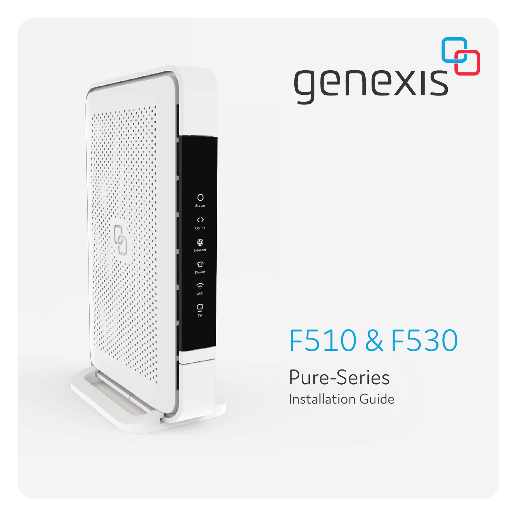



Pure-Series Installation Guide

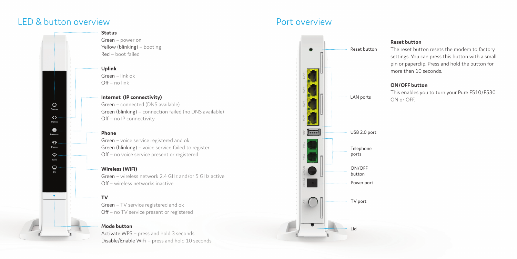# LED & button overview

 $\circ$ Status  $\leftrightarrow$ Uplink ⊕

Internet  $\Omega$  . Phone  $\hat{\mathcal{L}}$ WiFi  $rac{1}{\sqrt{2}}$ 



**Uplink**

Green – link ok  $Off - no link$ 

## **Internet (IP connectivity)**

Green – connected (DNS available) Green (blinking) – connection failed (no DNS available)  $Off - no$  IP connectivity

#### **Phone**

Green – voice service registered and ok Green (blinking) – voice service failed to register Off – no voice service present or registered

# **Wireless (WiFi)**

Green – wireless network 2.4 GHz and/or 5 GHz active  $Off$  – wireless networks inactive

#### **TV**

Green – TV service registered and ok Off – no TV service present or registered

# **Mode button**

Activate WPS – press and hold 3 seconds Disable/Enable WiFi – press and hold 10 seconds





### **Reset button**

The reset button resets the modem to factory settings. You can press this button with a small pin or paperclip. Press and hold the button for more than 10 seconds.

### **ON/OFF button**

This enables you to turn your Pure F510/F530 ON or OFF.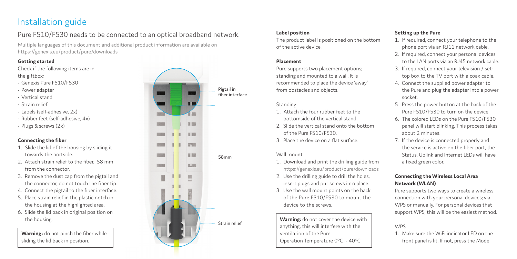# Installation guide

# Pure F510/F530 needs to be connected to an optical broadband network.

Multiple languages of this document and additional product information are available on https://genexis.eu/product/pure/downloads

# **Getting started**

Check if the following items are in the giftbox:

- Genexis Pure F510/F530
- Power adapter
- Vertical stand
- Strain relief
- Labels (self-adhesive, 2x)
- Rubber feet (self-adhesive, 4x)
- Plugs & screws (2x)

# **Connecting the fiber**

- 1. Slide the lid of the housing by sliding it towards the portside.
- 2. Attach strain relief to the fiber, 58 mm from the connector.
- 3. Remove the dust cap from the pigtail and the connector, do not touch the fiber tip.
- 4. Connect the pigtail to the fiber interface.
- 5. Place strain relief in the plastic notch in the housing at the highlighted area.
- 6. Slide the lid back in original position on the housing.

**Warning:** do not pinch the fiber while sliding the lid back in position.



# **Label position**

The product label is positioned on the bottom of the active device.

# **Placement**

Pure supports two placement options; standing and mounted to a wall. It is recommended to place the device 'away' from obstacles and objects.

## Standing

- 1. Attach the four rubber feet to the bottomside of the vertical stand.
- 2. Slide the vertical stand onto the bottom of the Pure F510/F530.
- 3. Place the device on a flat surface.

# Wall mount

- 1. Download and print the drilling guide from https://genexis.eu/product/pure/downloads
- 2. Use the drilling guide to drill the holes, insert plugs and put screws into place.
- 3. Use the wall mount points on the back of the Pure F510/F530 to mount the device to the screws.

**Warning:** do not cover the device with anything, this will interfere with the ventilation of the Pure. Operation Temperature 0°C ~ 40°C

# **Setting up the Pure**

- 1. If required, connect your telephone to the phone port via an RJ11 network cable.
- 2. If required, connect your personal devices to the LAN ports via an RJ45 network cable.
- 3. If required, connect your television / settop box to the TV port with a coax cable.
- 4. Connect the supplied power adapter to the Pure and plug the adapter into a power socket.
- 5. Press the power button at the back of the Pure F510/F530 to turn on the device.
- 6. The colored LEDs on the Pure F510/F530 panel will start blinking. This process takes about 2 minutes.
- 7. If the device is connected properly and the service is active on the fiber port, the Status, Uplink and Internet LEDs will have a fixed green color.

# **Connecting the Wireless Local Area Network (WLAN)**

Pure supports two ways to create a wireless connection with your personal devices; via WPS or manually. For personal devices that support WPS, this will be the easiest method.

# WPS

1. Make sure the WiFi indicator LED on the front panel is lit. If not, press the Mode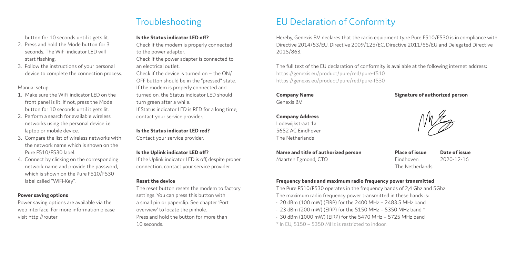button for 10 seconds until it gets lit.

- 2. Press and hold the Mode button for 3 seconds. The WiFi indicator LED will start flashing.
- 3. Follow the instructions of your personal device to complete the connection process.

#### Manual setup

- 1. Make sure the WiFi indicator LED on the front panel is lit. If not, press the Mode button for 10 seconds until it gets lit.
- 2. Perform a search for available wireless networks using the personal device i.e. laptop or mobile device.
- 3. Compare the list of wireless networks with the network name which is shown on the Pure F510/F530 label.
- 4. Connect by clicking on the corresponding network name and provide the password, which is shown on the Pure F510/F530 label called "WiFi-Key".

# **Power saving options**

Power saving options are available via the web interface. For more information please visit http://router

# Troubleshooting

### **Is the Status indicator LED off?**

Check if the modem is properly connected to the power adapter. Check if the power adapter is connected to an electrical outlet.

Check if the device is turned on – the ON/ OFF button should be in the "pressed" state. If the modem is properly connected and turned on, the Status indicator LED should turn green after a while. If Status indicator LED is RED for a long time, contact your service provider.

**Is the Status indicator LED red?**  Contact your service provider.

#### **Is the Uplink indicator LED off?**

If the Uplink indicator LED is off, despite proper connection, contact your service provider.

#### **Reset the device**

The reset button resets the modem to factory settings. You can press this button with a small pin or paperclip. See chapter 'Port overview' to locate the pinhole. Press and hold the button for more than 10 seconds.

# EU Declaration of Conformity

Hereby, Genexis B.V. declares that the radio equipment type Pure F510/F530 is in compliance with Directive 2014/53/EU, Directive 2009/125/EC, Directive 2011/65/EU and Delegated Directive 2015/863.

The full text of the EU declaration of conformity is available at the following internet address: https://genexis.eu/product/pure/red/pure-f510 https://genexis.eu/product/pure/red/pure-f530

### **Company Name**

Genexis B.V.

# **Company Address**

Lodewijkstraat 1a 5652 AC Eindhoven The Netherlands

**Name and title of authorized person** Maarten Egmond, CTO

**Signature of authorized person**

**Place of issue Date of issue** Eindhoven 2020-12-16 The Netherlands

### **Frequency bands and maximum radio frequency power transmitted**

The Pure F510/F530 operates in the frequency bands of 2,4 Ghz and 5Ghz. The maximum radio frequency power transmitted in these bands is:

- 20 dBm (100 mW) (EIRP) for the 2400 MHz 2483.5 MHz band
- $\cdot$  23 dBm (200 mW) (EIRP) for the 5150 MHz 5350 MHz band  $^{\star}$
- 30 dBm (1000 mW) (EIRP) for the 5470 MHz 5725 MHz band
- \* In EU, 5150 5350 MHz is restricted to indoor.